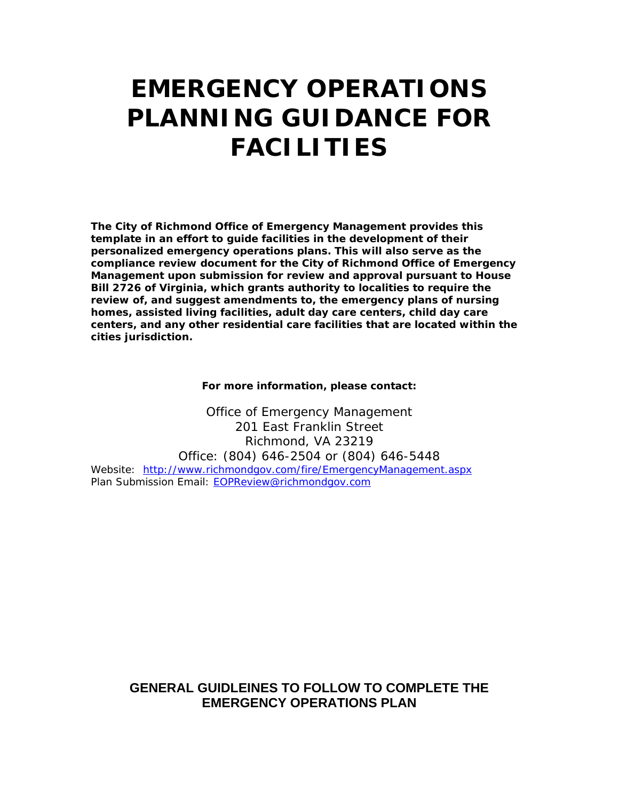# **EMERGENCY OPERATIONS PLANNING GUIDANCE FOR FACILITIES**

**The City of Richmond Office of Emergency Management provides this template in an effort to guide facilities in the development of their personalized emergency operations plans. This will also serve as the compliance review document for the City of Richmond Office of Emergency Management upon submission for review and approval pursuant to House Bill 2726 of Virginia, which grants authority to localities to require the review of, and suggest amendments to, the emergency plans of nursing homes, assisted living facilities, adult day care centers, child day care centers, and any other residential care facilities that are located within the cities jurisdiction.** 

#### **For more information, please contact:**

Office of Emergency Management 201 East Franklin Street Richmond, VA 23219 Office: (804) 646-2504 or (804) 646-5448 Website: http://www.richmondgov.com/fire/EmergencyManagement.aspx Plan Submission Email: EOPReview@richmondgov.com

# **GENERAL GUIDLEINES TO FOLLOW TO COMPLETE THE EMERGENCY OPERATIONS PLAN**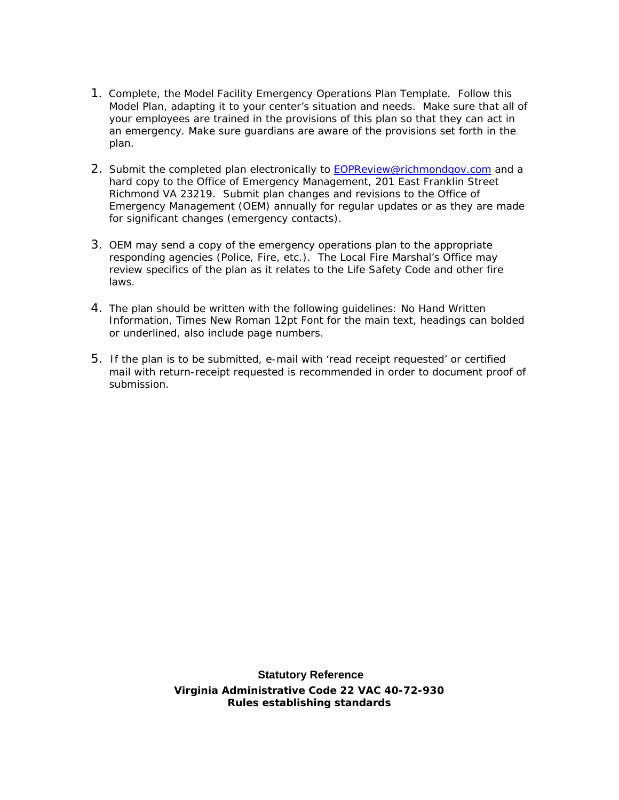- 1.Complete, the Model Facility Emergency Operations Plan Template. Follow this Model Plan, adapting it to your center's situation and needs.Make sure that all of your employees are trained in the provisions of this plan so that they can act in an emergency. Make sure guardians are aware of the provisions set forth in the plan.
- 2. Submit the completed plan electronically to **EOPReview@richmondgov.com** and a hard copy to the Office of Emergency Management, 201 East Franklin Street Richmond VA 23219. Submit plan changes and revisions to the Office of Emergency Management (OEM) annually for regular updates or as they are made for significant changes (emergency contacts).
- 3. OEM may send a copy of the emergency operations plan to the appropriate responding agencies (Police, Fire, etc.). The Local Fire Marshal's Office may review specifics of the plan as it relates to the Life Safety Code and other fire laws.
- 4. The plan should be written with the following guidelines: No Hand Written Information, Times New Roman 12pt Font for the main text, headings can bolded or underlined, also include page numbers.
- 5. If the plan is to be submitted, e-mail with 'read receipt requested' or certified mail with return-receipt requested is recommended in order to document proof of submission.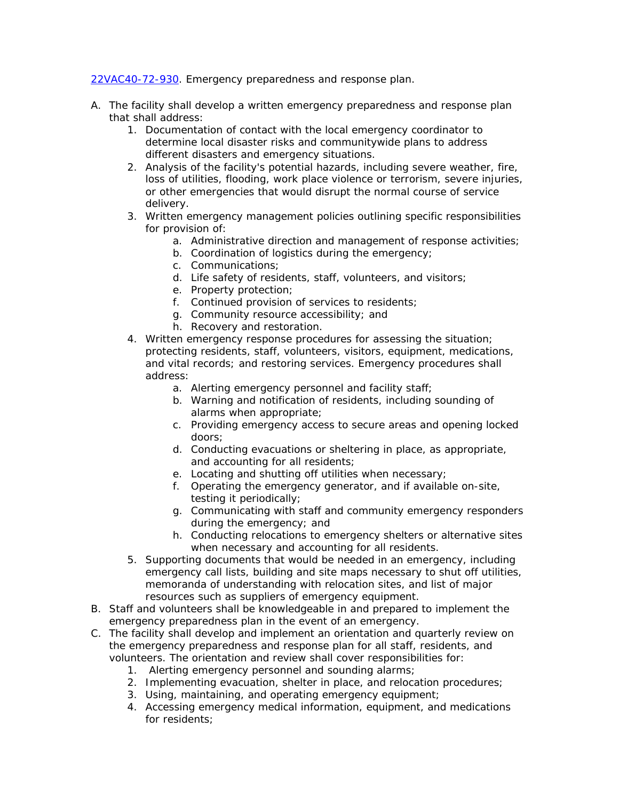22VAC40-72-930. Emergency preparedness and response plan.

- A. The facility shall develop a written emergency preparedness and response plan that shall address:
	- 1. Documentation of contact with the local emergency coordinator to determine local disaster risks and communitywide plans to address different disasters and emergency situations.
	- 2. Analysis of the facility's potential hazards, including severe weather, fire, loss of utilities, flooding, work place violence or terrorism, severe injuries, or other emergencies that would disrupt the normal course of service delivery.
	- 3. Written emergency management policies outlining specific responsibilities for provision of:
		- a. Administrative direction and management of response activities;
		- b. Coordination of logistics during the emergency;
		- c. Communications;
		- d. Life safety of residents, staff, volunteers, and visitors;
		- e. Property protection;
		- f. Continued provision of services to residents;
		- g. Community resource accessibility; and
		- h. Recovery and restoration.
	- 4. Written emergency response procedures for assessing the situation; protecting residents, staff, volunteers, visitors, equipment, medications, and vital records; and restoring services. Emergency procedures shall address:
		- a. Alerting emergency personnel and facility staff;
		- b. Warning and notification of residents, including sounding of alarms when appropriate;
		- c. Providing emergency access to secure areas and opening locked doors;
		- d. Conducting evacuations or sheltering in place, as appropriate, and accounting for all residents;
		- e. Locating and shutting off utilities when necessary;
		- f. Operating the emergency generator, and if available on-site, testing it periodically;
		- g. Communicating with staff and community emergency responders during the emergency; and
		- h. Conducting relocations to emergency shelters or alternative sites when necessary and accounting for all residents.
	- 5. Supporting documents that would be needed in an emergency, including emergency call lists, building and site maps necessary to shut off utilities, memoranda of understanding with relocation sites, and list of major resources such as suppliers of emergency equipment.
- B. Staff and volunteers shall be knowledgeable in and prepared to implement the emergency preparedness plan in the event of an emergency.
- C. The facility shall develop and implement an orientation and quarterly review on the emergency preparedness and response plan for all staff, residents, and volunteers. The orientation and review shall cover responsibilities for:
	- 1. Alerting emergency personnel and sounding alarms;
	- 2. Implementing evacuation, shelter in place, and relocation procedures;
	- 3. Using, maintaining, and operating emergency equipment;
	- 4. Accessing emergency medical information, equipment, and medications for residents;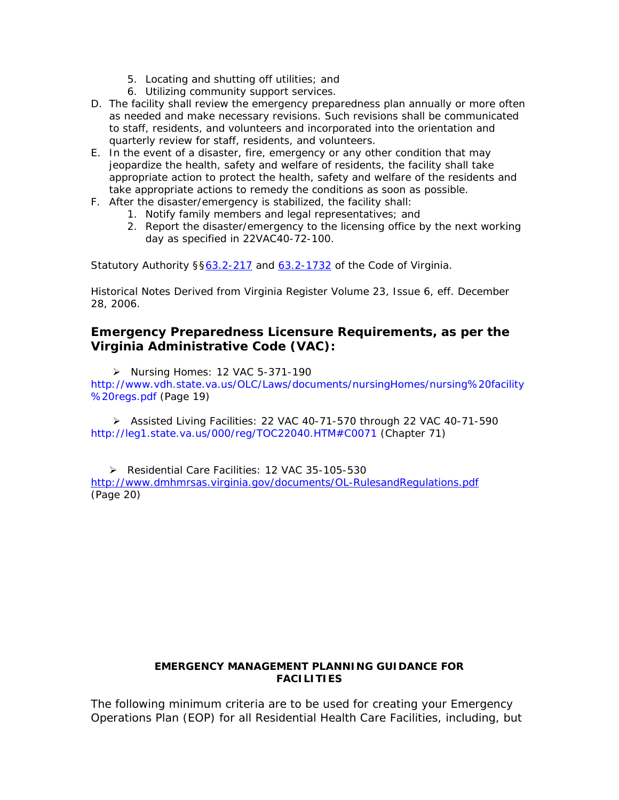- 5. Locating and shutting off utilities; and
- 6. Utilizing community support services.
- D. The facility shall review the emergency preparedness plan annually or more often as needed and make necessary revisions. Such revisions shall be communicated to staff, residents, and volunteers and incorporated into the orientation and quarterly review for staff, residents, and volunteers.
- E. In the event of a disaster, fire, emergency or any other condition that may jeopardize the health, safety and welfare of residents, the facility shall take appropriate action to protect the health, safety and welfare of the residents and take appropriate actions to remedy the conditions as soon as possible.
- F. After the disaster/emergency is stabilized, the facility shall:
	- 1. Notify family members and legal representatives; and
	- 2. Report the disaster/emergency to the licensing office by the next working day as specified in 22VAC40-72-100.

Statutory Authority § §63.2-217 and 63.2-1732 of the Code of Virginia.

Historical Notes Derived from Virginia Register Volume 23, Issue 6, eff. December 28, 2006.

## **Emergency Preparedness Licensure Requirements, as per the Virginia Administrative Code (VAC):**

¾ Nursing Homes: 12 VAC 5-371-190

http://www.vdh.state.va.us/OLC/Laws/documents/nursingHomes/nursing%20facility %20regs.pdf (Page 19)

¾ Assisted Living Facilities: 22 VAC 40-71-570 through 22 VAC 40-71-590 http://leg1.state.va.us/000/reg/TOC22040.HTM#C0071 (Chapter 71)

¾ Residential Care Facilities: 12 VAC 35-105-530 http://www.dmhmrsas.virginia.gov/documents/OL-RulesandRegulations.pdf (Page 20)

#### **EMERGENCY MANAGEMENT PLANNING GUIDANCE FOR FACILITIES**

The following minimum criteria are to be used for creating your Emergency Operations Plan (EOP) for all Residential Health Care Facilities, including, but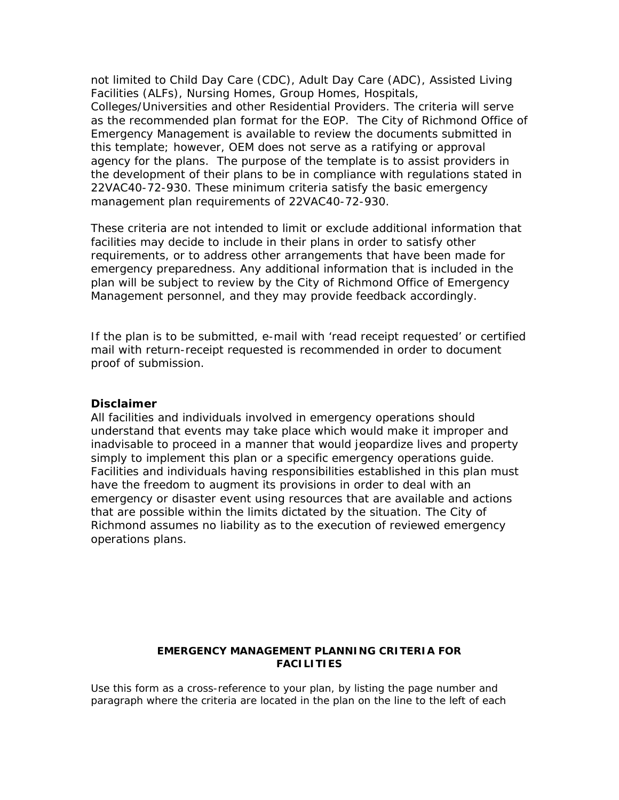not limited to Child Day Care (CDC), Adult Day Care (ADC), Assisted Living Facilities (ALFs), Nursing Homes, Group Homes, Hospitals, Colleges/Universities and other Residential Providers. The criteria will serve as the recommended plan format for the EOP. The City of Richmond Office of Emergency Management is available to review the documents submitted in this template; however, OEM does not serve as a ratifying or approval agency for the plans. The purpose of the template is to assist providers in the development of their plans to be in compliance with regulations stated in 22VAC40-72-930. These minimum criteria satisfy the basic emergency management plan requirements of 22VAC40-72-930.

These criteria are not intended to limit or exclude additional information that facilities may decide to include in their plans in order to satisfy other requirements, or to address other arrangements that have been made for emergency preparedness. Any additional information that is included in the plan will be subject to review by the City of Richmond Office of Emergency Management personnel, and they may provide feedback accordingly.

If the plan is to be submitted, e-mail with 'read receipt requested' or certified mail with return-receipt requested is recommended in order to document proof of submission.

#### **Disclaimer**

All facilities and individuals involved in emergency operations should understand that events may take place which would make it improper and inadvisable to proceed in a manner that would jeopardize lives and property simply to implement this plan or a specific emergency operations guide. Facilities and individuals having responsibilities established in this plan must have the freedom to augment its provisions in order to deal with an emergency or disaster event using resources that are available and actions that are possible within the limits dictated by the situation. The City of Richmond assumes no liability as to the execution of reviewed emergency operations plans.

### **EMERGENCY MANAGEMENT PLANNING CRITERIA FOR FACILITIES**

Use this form as a cross-reference to your plan, by listing the page number and paragraph where the criteria are located in the plan on the line to the left of each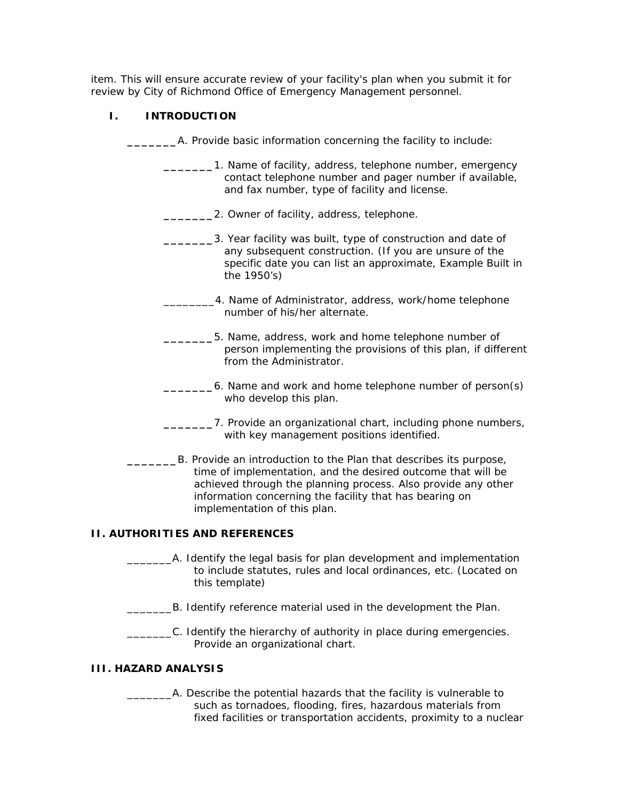item. This will ensure accurate review of your facility's plan when you submit it for review by City of Richmond Office of Emergency Management personnel.

### **I. INTRODUCTION**

| A. Provide basic information concerning the facility to include:                                                                                                                                                                                                                               |  |  |  |  |  |
|------------------------------------------------------------------------------------------------------------------------------------------------------------------------------------------------------------------------------------------------------------------------------------------------|--|--|--|--|--|
| 1. Name of facility, address, telephone number, emergency<br>contact telephone number and pager number if available,<br>and fax number, type of facility and license.                                                                                                                          |  |  |  |  |  |
| 2. Owner of facility, address, telephone.                                                                                                                                                                                                                                                      |  |  |  |  |  |
| 3. Year facility was built, type of construction and date of<br>any subsequent construction. (If you are unsure of the<br>specific date you can list an approximate, Example Built in<br>the 1950's)                                                                                           |  |  |  |  |  |
| 4. Name of Administrator, address, work/home telephone<br>number of his/her alternate.                                                                                                                                                                                                         |  |  |  |  |  |
| 5. Name, address, work and home telephone number of<br>person implementing the provisions of this plan, if different<br>from the Administrator.                                                                                                                                                |  |  |  |  |  |
| 6. Name and work and home telephone number of person(s)<br>who develop this plan.                                                                                                                                                                                                              |  |  |  |  |  |
| 7. Provide an organizational chart, including phone numbers,<br>with key management positions identified.                                                                                                                                                                                      |  |  |  |  |  |
| B. Provide an introduction to the Plan that describes its purpose,<br>time of implementation, and the desired outcome that will be<br>achieved through the planning process. Also provide any other<br>information concerning the facility that has bearing on<br>implementation of this plan. |  |  |  |  |  |
| <b>II. AUTHORITIES AND REFERENCES</b>                                                                                                                                                                                                                                                          |  |  |  |  |  |
| A. Identify the legal basis for plan development and implementation<br>to include statutes, rules and local ordinances, etc. (Located on<br>this template)                                                                                                                                     |  |  |  |  |  |
| B. Identify reference material used in the development the Plan.                                                                                                                                                                                                                               |  |  |  |  |  |
| C. Identify the hierarchy of authority in place during emergencies.<br>Provide an organizational chart.                                                                                                                                                                                        |  |  |  |  |  |
| <b>III. HAZARD ANALYSIS</b>                                                                                                                                                                                                                                                                    |  |  |  |  |  |
| the netential horsende that the feelth, is unlused                                                                                                                                                                                                                                             |  |  |  |  |  |

\_\_\_\_\_\_\_A. Describe the potential hazards that the facility is vulnerable to such as tornadoes, flooding, fires, hazardous materials from fixed facilities or transportation accidents, proximity to a nuclear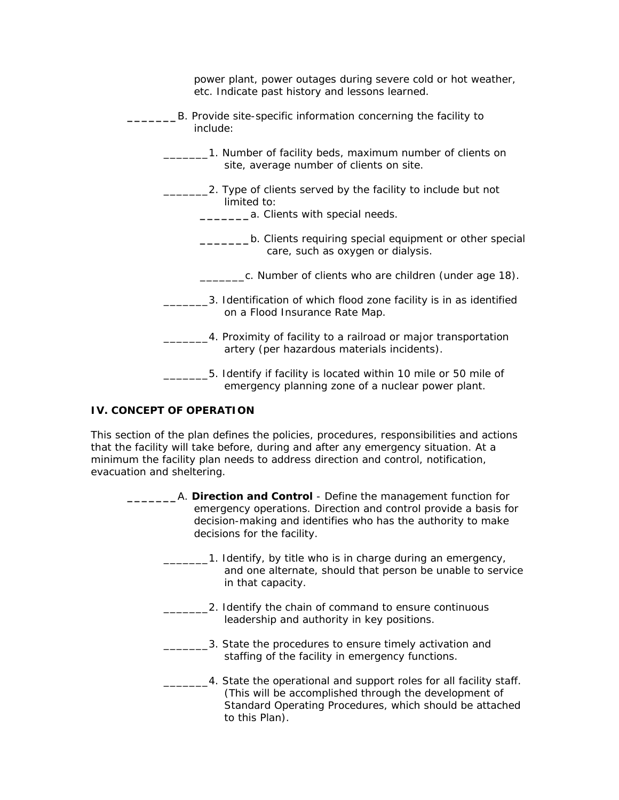| power plant, power outages during severe cold or hot weather,<br>etc. Indicate past history and lessons learned.     |  |  |  |  |
|----------------------------------------------------------------------------------------------------------------------|--|--|--|--|
| B. Provide site-specific information concerning the facility to<br>include:                                          |  |  |  |  |
| 1. Number of facility beds, maximum number of clients on<br>site, average number of clients on site.                 |  |  |  |  |
| 2. Type of clients served by the facility to include but not<br>limited to:<br>a. Clients with special needs.        |  |  |  |  |
| b. Clients requiring special equipment or other special<br>care, such as oxygen or dialysis.                         |  |  |  |  |
| c. Number of clients who are children (under age 18).                                                                |  |  |  |  |
| 3. Identification of which flood zone facility is in as identified<br>on a Flood Insurance Rate Map.                 |  |  |  |  |
| 4. Proximity of facility to a railroad or major transportation<br>artery (per hazardous materials incidents).        |  |  |  |  |
| 5. Identify if facility is located within 10 mile or 50 mile of<br>emergency planning zone of a nuclear power plant. |  |  |  |  |

### **IV. CONCEPT OF OPERATION**

This section of the plan defines the policies, procedures, responsibilities and actions that the facility will take before, during and after any emergency situation. At a minimum the facility plan needs to address direction and control, notification, evacuation and sheltering.

| A. Direction and Control - Define the management function for   |  |  |  |  |
|-----------------------------------------------------------------|--|--|--|--|
| emergency operations. Direction and control provide a basis for |  |  |  |  |
| decision-making and identifies who has the authority to make    |  |  |  |  |
| decisions for the facility.                                     |  |  |  |  |
|                                                                 |  |  |  |  |

- 1. Identify, by title who is in charge during an emergency, and one alternate, should that person be unable to service in that capacity.
	- \_\_\_\_\_\_\_2. Identify the chain of command to ensure continuous leadership and authority in key positions.
- **\_\_\_\_\_\_3.** State the procedures to ensure timely activation and staffing of the facility in emergency functions.
- **1.1.** 4. State the operational and support roles for all facility staff. (This will be accomplished through the development of Standard Operating Procedures, which should be attached to this Plan).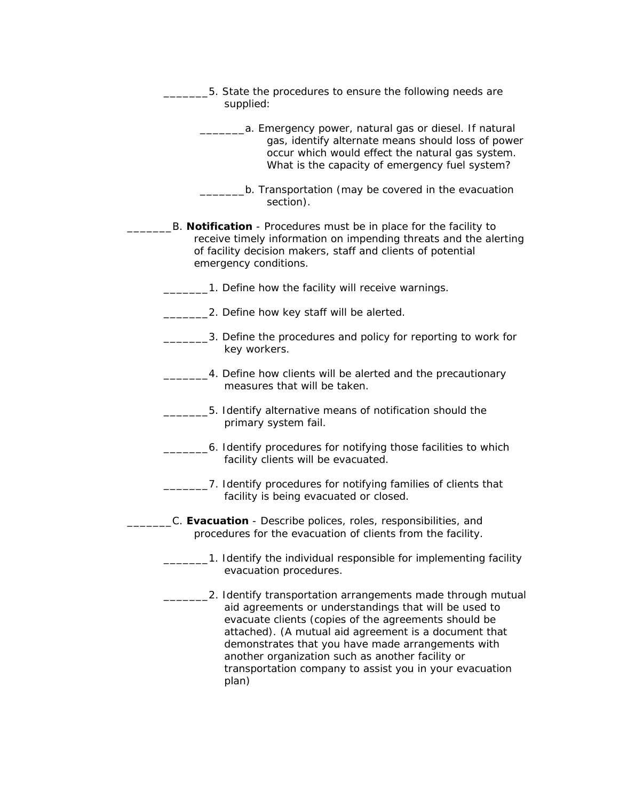| 5. State the procedures to ensure the following needs are<br>supplied:                                                                                                                                                                                                                                                                                                                                             |  |  |  |  |  |  |
|--------------------------------------------------------------------------------------------------------------------------------------------------------------------------------------------------------------------------------------------------------------------------------------------------------------------------------------------------------------------------------------------------------------------|--|--|--|--|--|--|
| a. Emergency power, natural gas or diesel. If natural<br>gas, identify alternate means should loss of power<br>occur which would effect the natural gas system.<br>What is the capacity of emergency fuel system?                                                                                                                                                                                                  |  |  |  |  |  |  |
| b. Transportation (may be covered in the evacuation<br>section).                                                                                                                                                                                                                                                                                                                                                   |  |  |  |  |  |  |
| B. Notification - Procedures must be in place for the facility to<br>receive timely information on impending threats and the alerting<br>of facility decision makers, staff and clients of potential<br>emergency conditions.                                                                                                                                                                                      |  |  |  |  |  |  |
| 1. Define how the facility will receive warnings.                                                                                                                                                                                                                                                                                                                                                                  |  |  |  |  |  |  |
| 2. Define how key staff will be alerted.                                                                                                                                                                                                                                                                                                                                                                           |  |  |  |  |  |  |
| 3. Define the procedures and policy for reporting to work for<br>key workers.                                                                                                                                                                                                                                                                                                                                      |  |  |  |  |  |  |
| 4. Define how clients will be alerted and the precautionary<br>measures that will be taken.                                                                                                                                                                                                                                                                                                                        |  |  |  |  |  |  |
| 5. Identify alternative means of notification should the<br>primary system fail.                                                                                                                                                                                                                                                                                                                                   |  |  |  |  |  |  |
| 6. Identify procedures for notifying those facilities to which<br>facility clients will be evacuated.                                                                                                                                                                                                                                                                                                              |  |  |  |  |  |  |
| 7. Identify procedures for notifying families of clients that<br>facility is being evacuated or closed.                                                                                                                                                                                                                                                                                                            |  |  |  |  |  |  |
| C. Evacuation - Describe polices, roles, responsibilities, and<br>procedures for the evacuation of clients from the facility.                                                                                                                                                                                                                                                                                      |  |  |  |  |  |  |
| 1. Identify the individual responsible for implementing facility<br>evacuation procedures.                                                                                                                                                                                                                                                                                                                         |  |  |  |  |  |  |
| 2. Identify transportation arrangements made through mutual<br>aid agreements or understandings that will be used to<br>evacuate clients (copies of the agreements should be<br>attached). (A mutual aid agreement is a document that<br>demonstrates that you have made arrangements with<br>another organization such as another facility or<br>transportation company to assist you in your evacuation<br>plan) |  |  |  |  |  |  |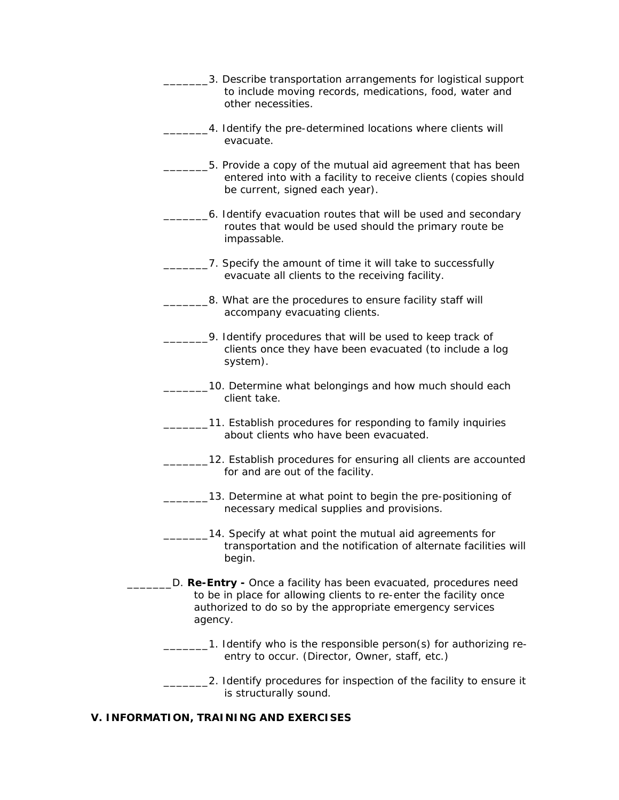\_\_\_\_\_\_\_3. Describe transportation arrangements for logistical support to include moving records, medications, food, water and other necessities. \_4. Identify the pre-determined locations where clients will evacuate. \_\_\_\_\_\_\_5. Provide a copy of the mutual aid agreement that has been entered into with a facility to receive clients (copies should be current, signed each year). \_\_\_\_\_\_\_6. Identify evacuation routes that will be used and secondary routes that would be used should the primary route be impassable. 7. Specify the amount of time it will take to successfully evacuate all clients to the receiving facility. \_8. What are the procedures to ensure facility staff will accompany evacuating clients. \_\_\_\_\_\_\_9. Identify procedures that will be used to keep track of clients once they have been evacuated (to include a log system). 10. Determine what belongings and how much should each client take. \_\_\_\_\_\_\_11. Establish procedures for responding to family inquiries about clients who have been evacuated. **\_\_\_\_12.** Establish procedures for ensuring all clients are accounted for and are out of the facility. \_\_\_\_\_\_\_13. Determine at what point to begin the pre-positioning of necessary medical supplies and provisions. 14. Specify at what point the mutual aid agreements for transportation and the notification of alternate facilities will begin. \_\_\_\_\_\_\_D. **Re-Entry -** Once a facility has been evacuated, procedures need to be in place for allowing clients to re-enter the facility once authorized to do so by the appropriate emergency services agency. **1.** Identify who is the responsible person(s) for authorizing reentry to occur. (Director, Owner, staff, etc.) \_\_\_\_\_\_\_2. Identify procedures for inspection of the facility to ensure it is structurally sound.

#### **V. INFORMATION, TRAINING AND EXERCISES**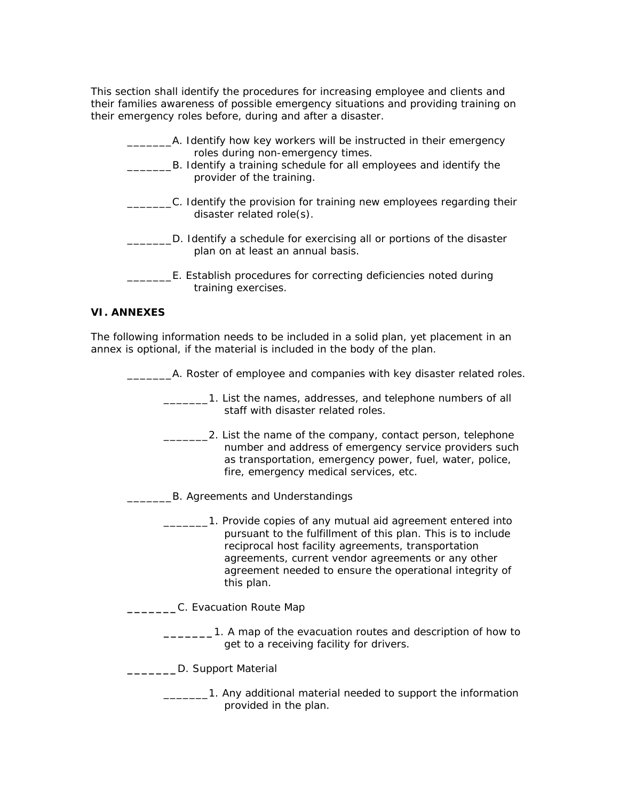This section shall identify the procedures for increasing employee and clients and their families awareness of possible emergency situations and providing training on their emergency roles before, during and after a disaster.

| A. Identify how key workers will be instructed in their emergency<br>roles during non-emergency times.     |  |
|------------------------------------------------------------------------------------------------------------|--|
| B. Identify a training schedule for all employees and identify the<br>provider of the training.            |  |
| C. Identify the provision for training new employees regarding their<br>disaster related role(s).          |  |
| D. Identify a schedule for exercising all or portions of the disaster<br>plan on at least an annual basis. |  |
| E. Establish procedures for correcting deficiencies noted during<br>training exercises.                    |  |

#### **VI. ANNEXES**

The following information needs to be included in a solid plan, yet placement in an annex is optional, if the material is included in the body of the plan.

\_\_\_\_\_\_\_A. Roster of employee and companies with key disaster related roles.

\_\_\_\_\_\_\_1. List the names, addresses, and telephone numbers of all staff with disaster related roles.

- **\_\_\_\_\_\_\_2.** List the name of the company, contact person, telephone number and address of emergency service providers such as transportation, emergency power, fuel, water, police, fire, emergency medical services, etc.
- \_\_\_\_\_\_\_B. Agreements and Understandings
	- \_\_\_\_\_\_\_1. Provide copies of any mutual aid agreement entered into pursuant to the fulfillment of this plan. This is to include reciprocal host facility agreements, transportation agreements, current vendor agreements or any other agreement needed to ensure the operational integrity of this plan.
- **\_\_\_\_\_\_\_**C. Evacuation Route Map
	- **\_\_\_\_\_\_\_**1. A map of the evacuation routes and description of how to get to a receiving facility for drivers.
- **\_\_\_\_\_\_\_**D. Support Material
	- \_\_\_\_\_\_\_1. Any additional material needed to support the information provided in the plan.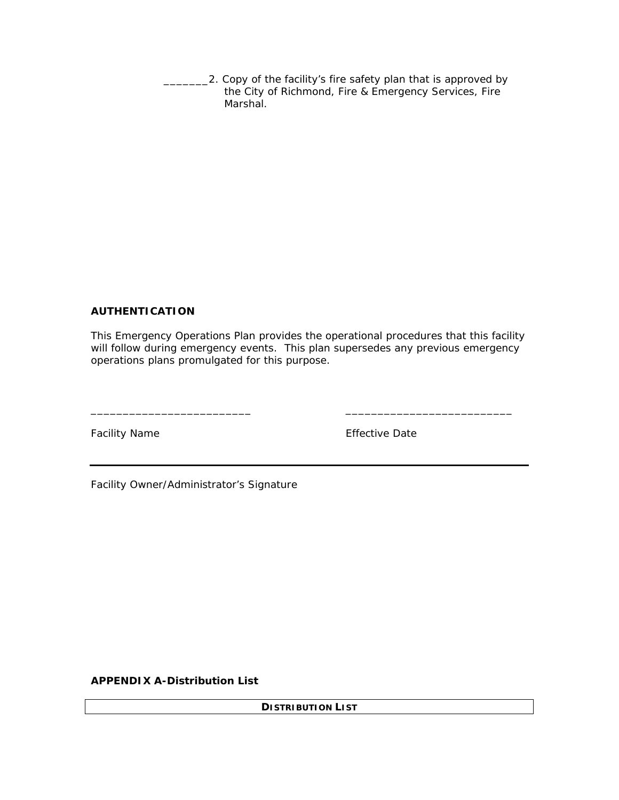**2. Copy of the facility's fire safety plan that is approved by** the City of Richmond, Fire & Emergency Services, Fire Marshal.

### **AUTHENTICATION**

 This Emergency Operations Plan provides the operational procedures that this facility will follow during emergency events. This plan supersedes any previous emergency operations plans promulgated for this purpose.

\_\_\_\_\_\_\_\_\_\_\_\_\_\_\_\_\_\_\_\_\_\_\_\_\_ \_\_\_\_\_\_\_\_\_\_\_\_\_\_\_\_\_\_\_\_\_\_\_\_\_\_

Facility Name The Contract of the Effective Date

Facility Owner/Administrator's Signature

**APPENDIX A-Distribution List** 

**DISTRIBUTION LIST**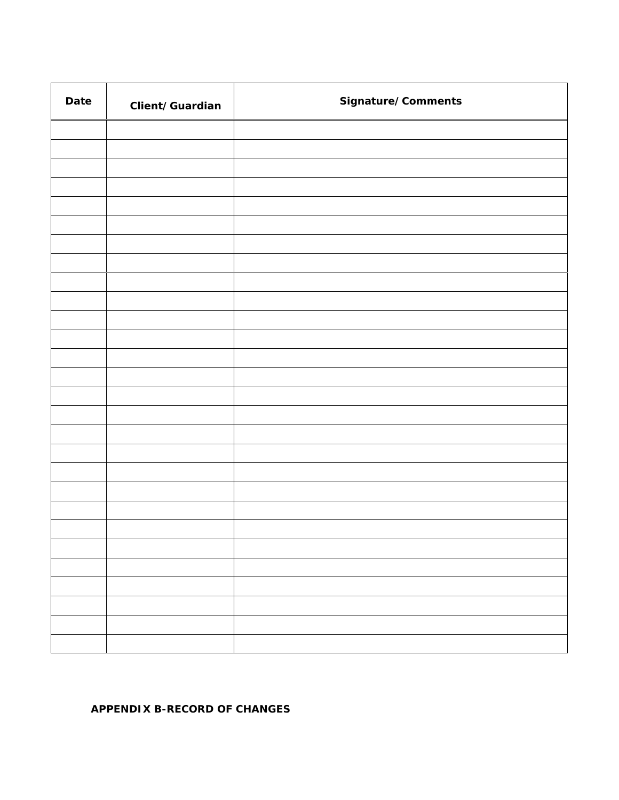| Date | Client/Guardian | Signature/Comments |  |
|------|-----------------|--------------------|--|
|      |                 |                    |  |
|      |                 |                    |  |
|      |                 |                    |  |
|      |                 |                    |  |
|      |                 |                    |  |
|      |                 |                    |  |
|      |                 |                    |  |
|      |                 |                    |  |
|      |                 |                    |  |
|      |                 |                    |  |
|      |                 |                    |  |
|      |                 |                    |  |
|      |                 |                    |  |
|      |                 |                    |  |
|      |                 |                    |  |
|      |                 |                    |  |
|      |                 |                    |  |
|      |                 |                    |  |
|      |                 |                    |  |
|      |                 |                    |  |
|      |                 |                    |  |
|      |                 |                    |  |
|      |                 |                    |  |
|      |                 |                    |  |
|      |                 |                    |  |
|      |                 |                    |  |
|      |                 |                    |  |

### **APPENDIX B-RECORD OF CHANGES**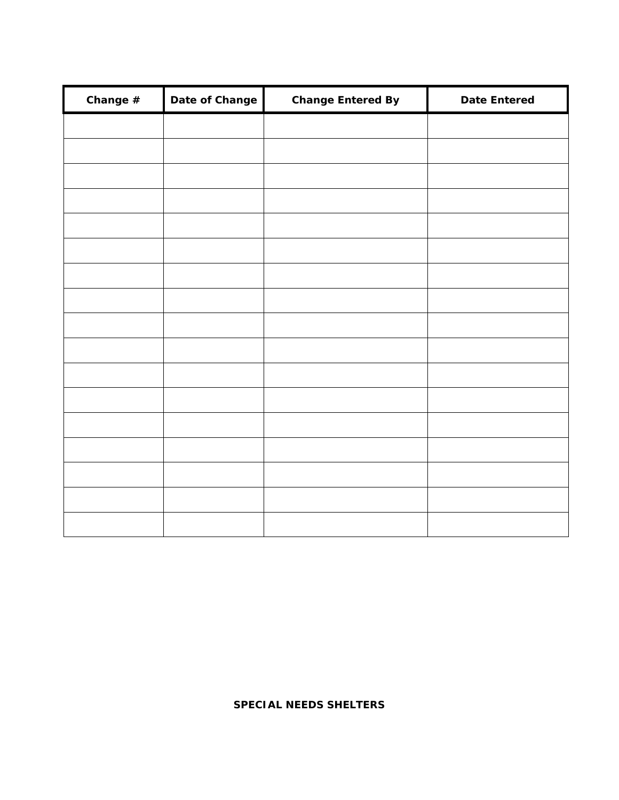| Change $#$ | Date of Change | <b>Change Entered By</b> | <b>Date Entered</b> |
|------------|----------------|--------------------------|---------------------|
|            |                |                          |                     |
|            |                |                          |                     |
|            |                |                          |                     |
|            |                |                          |                     |
|            |                |                          |                     |
|            |                |                          |                     |
|            |                |                          |                     |
|            |                |                          |                     |
|            |                |                          |                     |
|            |                |                          |                     |
|            |                |                          |                     |
|            |                |                          |                     |
|            |                |                          |                     |
|            |                |                          |                     |
|            |                |                          |                     |
|            |                |                          |                     |
|            |                |                          |                     |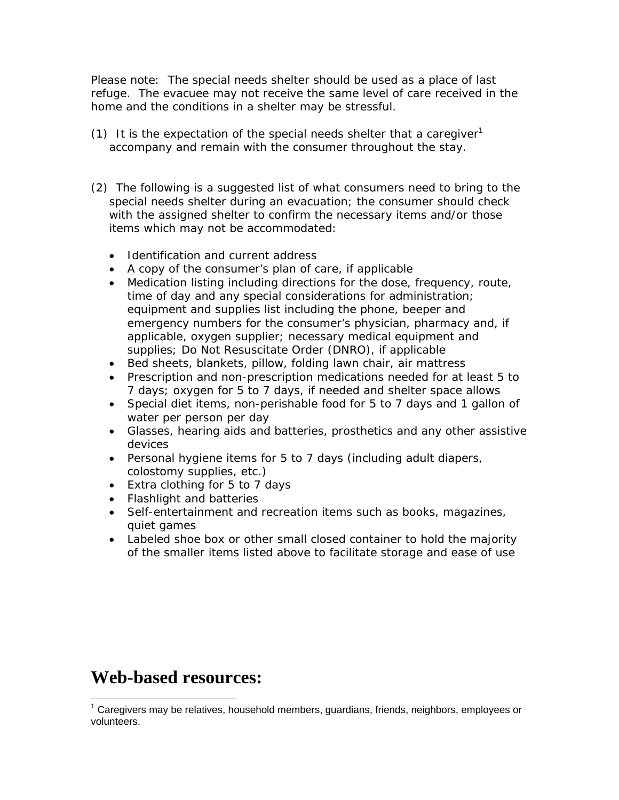*Please note: The special needs shelter should be used as a place of last refuge. The evacuee may not receive the same level of care received in the home and the conditions in a shelter may be stressful.* 

- (1) It is the expectation of the special needs shelter that a caregiver<sup>1</sup> accompany and remain with the consumer throughout the stay.
- (2) The following is a suggested list of what consumers need to bring to the special needs shelter during an evacuation; the consumer should check with the assigned shelter to confirm the necessary items and/or those items which may not be accommodated:
	- Identification and current address
	- A copy of the consumer's plan of care, if applicable
	- Medication listing including directions for the dose, frequency, route, time of day and any special considerations for administration; equipment and supplies list including the phone, beeper and emergency numbers for the consumer's physician, pharmacy and, if applicable, oxygen supplier; necessary medical equipment and supplies; Do Not Resuscitate Order (DNRO), if applicable
	- Bed sheets, blankets, pillow, folding lawn chair, air mattress
	- Prescription and non-prescription medications needed for at least 5 to 7 days; oxygen for 5 to 7 days, if needed and shelter space allows
	- Special diet items, non-perishable food for 5 to 7 days and 1 gallon of water per person per day
	- Glasses, hearing aids and batteries, prosthetics and any other assistive devices
	- Personal hygiene items for 5 to 7 days (including adult diapers, colostomy supplies, etc.)
	- Extra clothing for 5 to 7 days
	- Flashlight and batteries
	- Self-entertainment and recreation items such as books, magazines, quiet games
	- Labeled shoe box or other small closed container to hold the majority of the smaller items listed above to facilitate storage and ease of use

# **Web-based resources:**

1

<sup>&</sup>lt;sup>1</sup> Caregivers may be relatives, household members, guardians, friends, neighbors, employees or volunteers.